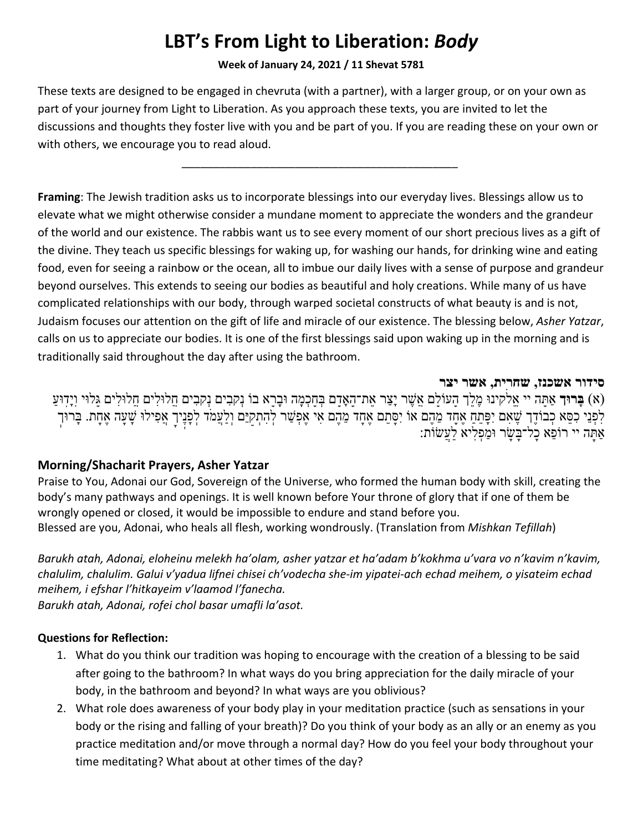# **LBT's From Light to Liberation:** *Body*

#### **Week of January 24, 2021 / 11 Shevat 5781**

These texts are designed to be engaged in chevruta (with a partner), with a larger group, or on your own as part of your journey from Light to Liberation. As you approach these texts, you are invited to let the discussions and thoughts they foster live with you and be part of you. If you are reading these on your own or with others, we encourage you to read aloud.

*\_\_\_\_\_\_\_\_\_\_\_\_\_\_\_\_\_\_\_\_\_\_\_\_\_\_\_\_\_\_\_\_\_\_\_\_\_\_\_\_\_\_\_\_*

**Framing**: The Jewish tradition asks us to incorporate blessings into our everyday lives. Blessings allow us to elevate what we might otherwise consider a mundane moment to appreciate the wonders and the grandeur of the world and our existence. The rabbis want us to see every moment of our short precious lives as a gift of the divine. They teach us specific blessings for waking up, for washing our hands, for drinking wine and eating food, even for seeing a rainbow or the ocean, all to imbue our daily lives with a sense of purpose and grandeur beyond ourselves. This extends to seeing our bodies as beautiful and holy creations. While many of us have complicated relationships with our body, through warped societal constructs of what beauty is and is not, Judaism focuses our attention on the gift of life and miracle of our existence. The blessing below, *Asher Yatzar*, calls on us to appreciate our bodies. It is one of the first blessings said upon waking up in the morning and is traditionally said throughout the day after using the bathroom.

#### **סידור אשכנז, שחרית, אשר יצר**

ִבים ֲחלוִּלים ֲחלוִּלים ָגּלוּי וְיָֽדוַּע ִבים נְקָ ָרא בוֹ נְקָ ֽ ֶלךְ ָהעוָֹלם ֲא ֶשׁר יַָצר ֶאת־ָהאָָדם ְבָּחְכָמה וָּב ֽ ינוּ ֶמ ֵק (א) **ָבּרוּךְ** אַָתּה יי ֱאלֹ  $\overline{a}$ לִפְּנֵי כִפֵּא כְבוֹדֶךָ שֶׁאִם יִפָּתֵח אֶחָד מֵהֶם אוֹ יִסָּתֵם אֶתָד מֵהֶם אִי אֶפְשַׁר לְהִתְקַיֵּם וְלַעֲמֹד לְפָנֶיךָ אֲפִילוּ שָׁעָה אֶחָת. בְּרוּךְ אַָתּה יי רוֵֹפא ָכל־ָבּ ָשׂר וַּמְפִליא ַלֲעשׂוֹת:

# **Morning/Shacharit Prayers, Asher [Yatzar](https://www.sefaria.org/Siddur_Ashkenaz,_Weekday,_Shacharit,_Preparatory_Prayers,_Asher_Yatzar)**

Praise to You, Adonai our God, Sovereign of the Universe, who formed the human body with skill, creating the body's many pathways and openings. It is well known before Your throne of glory that if one of them be wrongly opened or closed, it would be impossible to endure and stand before you. Blessed are you, Adonai, who heals all flesh, working wondrously. (Translation from *Mishkan Tefillah*)

*Barukh atah, Adonai, eloheinu melekh ha'olam, asher yatzar et ha'adam b'kokhma u'vara vo n'kavim n'kavim, chalulim, chalulim. Galui v'yadua lifnei chisei ch'vodecha she-im yipatei-ach echad meihem, o yisateim echad meihem, i efshar l'hitkayeim v'laamod l'fanecha.*

*Barukh atah, Adonai, rofei chol basar umafli la'asot.*

# **Questions for Reflection:**

- 1. What do you think our tradition was hoping to encourage with the creation of a blessing to be said after going to the bathroom? In what ways do you bring appreciation for the daily miracle of your body, in the bathroom and beyond? In what ways are you oblivious?
- 2. What role does awareness of your body play in your meditation practice (such as sensations in your body or the rising and falling of your breath)? Do you think of your body as an ally or an enemy as you practice meditation and/or move through a normal day? How do you feel your body throughout your time meditating? What about at other times of the day?